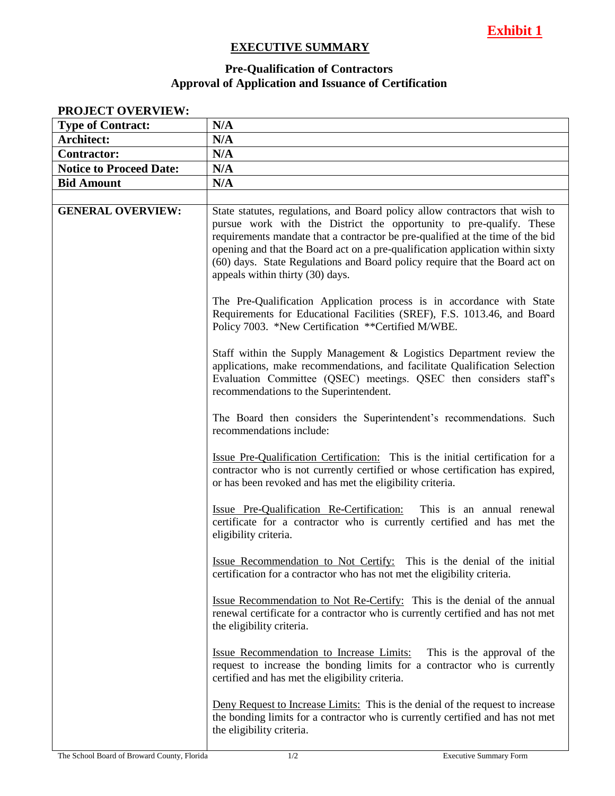## **EXECUTIVE SUMMARY**

## **Pre-Qualification of Contractors Approval of Application and Issuance of Certification**

| PROJECT OVERVIEW:              |                                                                                                                                                                                                                                                                                                                                                                                                                                            |
|--------------------------------|--------------------------------------------------------------------------------------------------------------------------------------------------------------------------------------------------------------------------------------------------------------------------------------------------------------------------------------------------------------------------------------------------------------------------------------------|
| <b>Type of Contract:</b>       | N/A                                                                                                                                                                                                                                                                                                                                                                                                                                        |
| <b>Architect:</b>              | N/A                                                                                                                                                                                                                                                                                                                                                                                                                                        |
| <b>Contractor:</b>             | N/A                                                                                                                                                                                                                                                                                                                                                                                                                                        |
| <b>Notice to Proceed Date:</b> | N/A                                                                                                                                                                                                                                                                                                                                                                                                                                        |
| <b>Bid Amount</b>              | N/A                                                                                                                                                                                                                                                                                                                                                                                                                                        |
|                                |                                                                                                                                                                                                                                                                                                                                                                                                                                            |
| <b>GENERAL OVERVIEW:</b>       | State statutes, regulations, and Board policy allow contractors that wish to<br>pursue work with the District the opportunity to pre-qualify. These<br>requirements mandate that a contractor be pre-qualified at the time of the bid<br>opening and that the Board act on a pre-qualification application within sixty<br>(60) days. State Regulations and Board policy require that the Board act on<br>appeals within thirty (30) days. |
|                                | The Pre-Qualification Application process is in accordance with State<br>Requirements for Educational Facilities (SREF), F.S. 1013.46, and Board<br>Policy 7003. *New Certification **Certified M/WBE.                                                                                                                                                                                                                                     |
|                                | Staff within the Supply Management & Logistics Department review the<br>applications, make recommendations, and facilitate Qualification Selection<br>Evaluation Committee (QSEC) meetings. QSEC then considers staff's<br>recommendations to the Superintendent.                                                                                                                                                                          |
|                                | The Board then considers the Superintendent's recommendations. Such<br>recommendations include:                                                                                                                                                                                                                                                                                                                                            |
|                                | Issue Pre-Qualification Certification: This is the initial certification for a<br>contractor who is not currently certified or whose certification has expired,<br>or has been revoked and has met the eligibility criteria.                                                                                                                                                                                                               |
|                                | <b>Issue Pre-Qualification Re-Certification:</b><br>This is an annual renewal<br>certificate for a contractor who is currently certified and has met the<br>eligibility criteria.                                                                                                                                                                                                                                                          |
|                                | Issue Recommendation to Not Certify: This is the denial of the initial<br>certification for a contractor who has not met the eligibility criteria.                                                                                                                                                                                                                                                                                         |
|                                | Issue Recommendation to Not Re-Certify: This is the denial of the annual<br>renewal certificate for a contractor who is currently certified and has not met<br>the eligibility criteria.                                                                                                                                                                                                                                                   |
|                                | <b>Issue Recommendation to Increase Limits:</b><br>This is the approval of the<br>request to increase the bonding limits for a contractor who is currently<br>certified and has met the eligibility criteria.                                                                                                                                                                                                                              |
|                                | Deny Request to Increase Limits: This is the denial of the request to increase<br>the bonding limits for a contractor who is currently certified and has not met<br>the eligibility criteria.                                                                                                                                                                                                                                              |